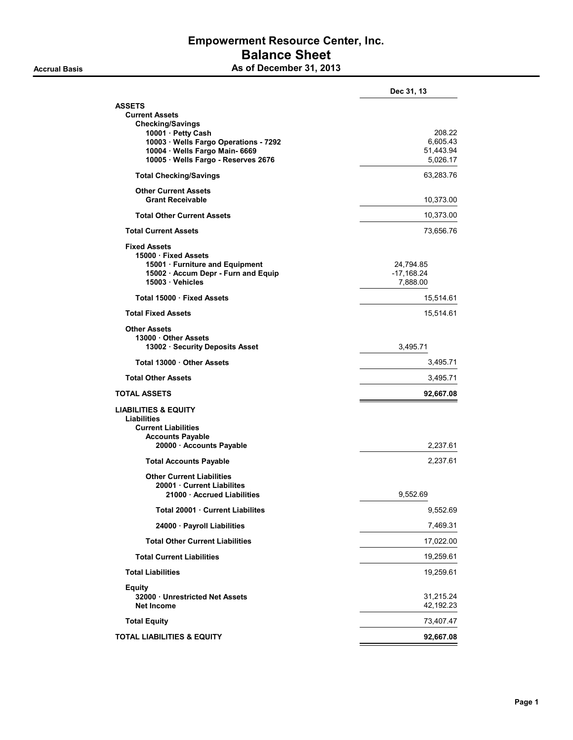### Empowerment Resource Center, Inc. Balance Sheet Accrual Basis Accrual Basis As of December 31, 2013

|                                                         | Dec 31, 13   |
|---------------------------------------------------------|--------------|
| <b>ASSETS</b>                                           |              |
| <b>Current Assets</b>                                   |              |
| <b>Checking/Savings</b><br>10001 · Petty Cash           | 208.22       |
| 10003 · Wells Fargo Operations - 7292                   | 6,605.43     |
| 10004 · Wells Fargo Main- 6669                          | 51,443.94    |
| 10005 · Wells Fargo - Reserves 2676                     | 5,026.17     |
| <b>Total Checking/Savings</b>                           | 63,283.76    |
| <b>Other Current Assets</b><br><b>Grant Receivable</b>  | 10,373.00    |
| <b>Total Other Current Assets</b>                       | 10,373.00    |
| <b>Total Current Assets</b>                             | 73,656.76    |
| <b>Fixed Assets</b>                                     |              |
| 15000 · Fixed Assets<br>15001 · Furniture and Equipment | 24,794.85    |
| 15002 · Accum Depr - Furn and Equip                     | $-17,168.24$ |
| 15003 · Vehicles                                        | 7,888.00     |
| Total 15000 · Fixed Assets                              | 15,514.61    |
| <b>Total Fixed Assets</b>                               | 15,514.61    |
| <b>Other Assets</b>                                     |              |
| 13000 Other Assets<br>13002 · Security Deposits Asset   | 3.495.71     |
| Total 13000 Other Assets                                | 3,495.71     |
| <b>Total Other Assets</b>                               | 3,495.71     |
| <b>TOTAL ASSETS</b>                                     | 92,667.08    |
| <b>LIABILITIES &amp; EQUITY</b>                         |              |
| <b>Liabilities</b><br><b>Current Liabilities</b>        |              |
| <b>Accounts Payable</b>                                 |              |
| 20000 · Accounts Payable                                | 2,237.61     |
| <b>Total Accounts Payable</b>                           | 2,237.61     |
| <b>Other Current Liabilities</b>                        |              |
| 20001 Current Liabilites<br>21000 Accrued Liabilities   | 9,552.69     |
| Total 20001 Current Liabilites                          | 9,552.69     |
| 24000 · Payroll Liabilities                             | 7,469.31     |
| <b>Total Other Current Liabilities</b>                  | 17,022.00    |
| <b>Total Current Liabilities</b>                        | 19,259.61    |
| <b>Total Liabilities</b>                                | 19,259.61    |
| <b>Equity</b>                                           |              |
| 32000 Unrestricted Net Assets                           | 31,215.24    |
| <b>Net Income</b>                                       | 42,192.23    |
| <b>Total Equity</b>                                     | 73,407.47    |
| <b>TOTAL LIABILITIES &amp; EQUITY</b>                   | 92,667.08    |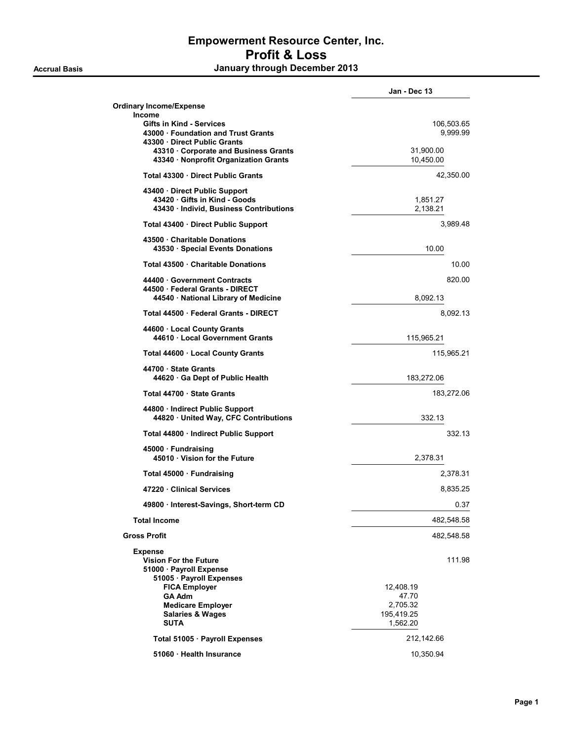|                                                                                                       | Jan - Dec 13           |
|-------------------------------------------------------------------------------------------------------|------------------------|
| <b>Ordinary Income/Expense</b><br>Income                                                              |                        |
| Gifts in Kind - Services<br>43000 · Foundation and Trust Grants<br>43300 Direct Public Grants         | 106,503.65<br>9,999.99 |
| 43310 · Corporate and Business Grants<br>43340 · Nonprofit Organization Grants                        | 31,900.00<br>10,450.00 |
| Total 43300 Direct Public Grants                                                                      | 42,350.00              |
| 43400 Direct Public Support<br>43420 Gifts in Kind - Goods<br>43430 · Individ, Business Contributions | 1,851.27<br>2,138.21   |
| Total 43400 · Direct Public Support                                                                   | 3,989.48               |
| 43500 Charitable Donations<br>43530 · Special Events Donations                                        | 10.00                  |
| Total 43500 Charitable Donations                                                                      | 10.00                  |
| 44400 Government Contracts<br>44500 · Federal Grants - DIRECT                                         | 820.00                 |
| 44540 · National Library of Medicine                                                                  | 8,092.13               |
| Total 44500 Federal Grants - DIRECT                                                                   | 8,092.13               |
| 44600 Local County Grants<br>44610 Local Government Grants                                            | 115,965.21             |
| Total 44600 · Local County Grants                                                                     | 115,965.21             |
| 44700 · State Grants<br>44620 Ga Dept of Public Health                                                | 183,272.06             |
| Total 44700 State Grants                                                                              | 183,272.06             |
| 44800 · Indirect Public Support<br>44820 United Way, CFC Contributions                                | 332.13                 |
| Total 44800 · Indirect Public Support                                                                 | 332.13                 |
| 45000 · Fundraising<br>45010 · Vision for the Future                                                  | 2,378.31               |
| Total 45000 · Fundraising                                                                             | 2,378.31               |
| 47220 Clinical Services                                                                               | 8,835.25               |
| 49800 · Interest-Savings, Short-term CD                                                               | 0.37                   |
| <b>Total Income</b>                                                                                   | 482,548.58             |
| <b>Gross Profit</b>                                                                                   | 482,548.58             |
| <b>Expense</b><br><b>Vision For the Future</b>                                                        | 111.98                 |
| 51000 · Payroll Expense<br>51005 · Payroll Expenses                                                   |                        |
| <b>FICA Employer</b>                                                                                  | 12,408.19              |
| <b>GA Adm</b><br><b>Medicare Employer</b>                                                             | 47.70<br>2,705.32      |
| <b>Salaries &amp; Wages</b>                                                                           | 195,419.25             |
| <b>SUTA</b>                                                                                           | 1,562.20               |
| Total 51005 · Payroll Expenses                                                                        | 212,142.66             |
| 51060 · Health Insurance                                                                              | 10,350.94              |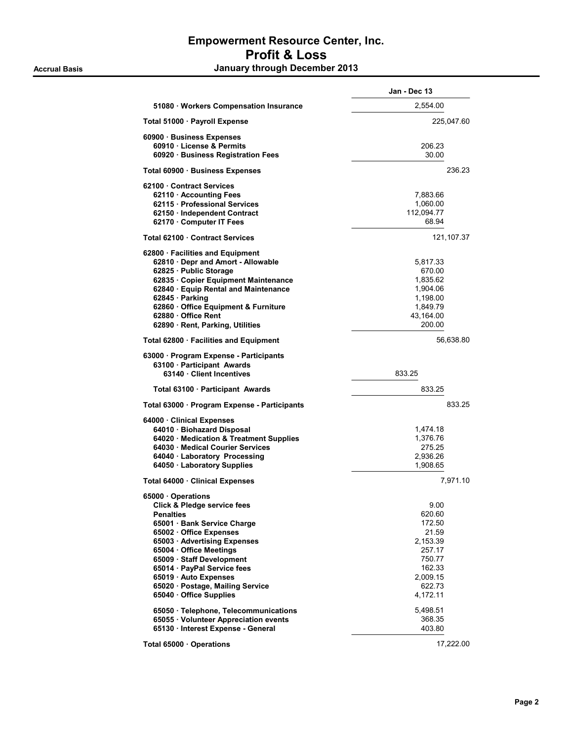|                                              | Jan - Dec 13 |
|----------------------------------------------|--------------|
| 51080 · Workers Compensation Insurance       | 2,554.00     |
| Total 51000 · Payroll Expense                | 225,047.60   |
| 60900 · Business Expenses                    |              |
| 60910 · License & Permits                    | 206.23       |
| 60920 · Business Registration Fees           | 30.00        |
| Total 60900 · Business Expenses              | 236.23       |
| 62100 Contract Services                      |              |
| 62110 · Accounting Fees                      | 7,883.66     |
| 62115 · Professional Services                | 1,060.00     |
| 62150 · Independent Contract                 | 112,094.77   |
| 62170 · Computer IT Fees                     | 68.94        |
| Total 62100 Contract Services                | 121,107.37   |
| 62800 · Facilities and Equipment             |              |
| 62810 · Depr and Amort - Allowable           | 5,817.33     |
| 62825 · Public Storage                       | 670.00       |
| 62835 · Copier Equipment Maintenance         | 1,835.62     |
| 62840 · Equip Rental and Maintenance         | 1,904.06     |
| $62845 \cdot$ Parking                        | 1,198.00     |
| 62860 · Office Equipment & Furniture         | 1,849.79     |
| 62880 Office Rent                            | 43,164.00    |
| 62890 · Rent, Parking, Utilities             | 200.00       |
| Total 62800 · Facilities and Equipment       | 56,638.80    |
| 63000 · Program Expense - Participants       |              |
| 63100 · Participant Awards                   |              |
| 63140 Client Incentives                      | 833.25       |
| Total 63100 · Participant Awards             | 833.25       |
| Total 63000 · Program Expense - Participants | 833.25       |
| 64000 · Clinical Expenses                    |              |
| 64010 · Biohazard Disposal                   | 1,474.18     |
| 64020 · Medication & Treatment Supplies      | 1,376.76     |
| 64030 · Medical Courier Services             | 275.25       |
| 64040 · Laboratory Processing                | 2,936.26     |
| 64050 · Laboratory Supplies                  | 1,908.65     |
| Total 64000 · Clinical Expenses              | 7,971.10     |
| 65000 · Operations                           |              |
| Click & Pledge service fees                  | 9.00         |
| <b>Penalties</b>                             | 620.60       |
| 65001 · Bank Service Charge                  | 172.50       |
| 65002 Office Expenses                        | 21.59        |
| 65003 · Advertising Expenses                 | 2,153.39     |
| 65004 · Office Meetings                      | 257.17       |
| 65009 · Staff Development                    | 750.77       |
| 65014 · PayPal Service fees                  | 162.33       |
| 65019 · Auto Expenses                        | 2,009.15     |
| 65020 · Postage, Mailing Service             | 622.73       |
| 65040 Office Supplies                        | 4,172.11     |
| 65050 · Telephone, Telecommunications        | 5,498.51     |
| 65055 · Volunteer Appreciation events        | 368.35       |
| 65130 · Interest Expense - General           | 403.80       |
| Total 65000 Operations                       | 17,222.00    |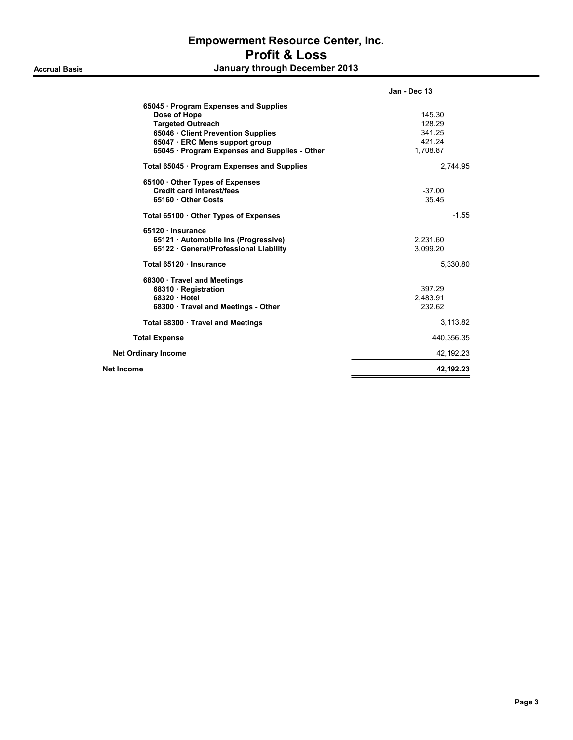|                                               | Jan - Dec 13 |
|-----------------------------------------------|--------------|
| 65045 · Program Expenses and Supplies         |              |
| Dose of Hope                                  | 145.30       |
| <b>Targeted Outreach</b>                      | 128.29       |
| 65046 · Client Prevention Supplies            | 341.25       |
| 65047 · ERC Mens support group                | 421.24       |
| 65045 · Program Expenses and Supplies - Other | 1,708.87     |
| Total 65045 · Program Expenses and Supplies   | 2.744.95     |
| 65100 Other Types of Expenses                 |              |
| <b>Credit card interest/fees</b>              | $-37.00$     |
| 65160 Other Costs                             | 35.45        |
| Total 65100 Other Types of Expenses           | $-1.55$      |
| 65120 · Insurance                             |              |
| 65121 · Automobile Ins (Progressive)          | 2,231.60     |
| 65122 · General/Professional Liability        | 3.099.20     |
| Total 65120 · Insurance                       | 5.330.80     |
| 68300 Travel and Meetings                     |              |
| 68310 · Registration                          | 397.29       |
| 68320 Hotel                                   | 2,483.91     |
| 68300 · Travel and Meetings - Other           | 232.62       |
| Total 68300 · Travel and Meetings             | 3,113.82     |
| <b>Total Expense</b>                          | 440,356.35   |
| <b>Net Ordinary Income</b>                    | 42,192.23    |
| Net Income                                    | 42,192.23    |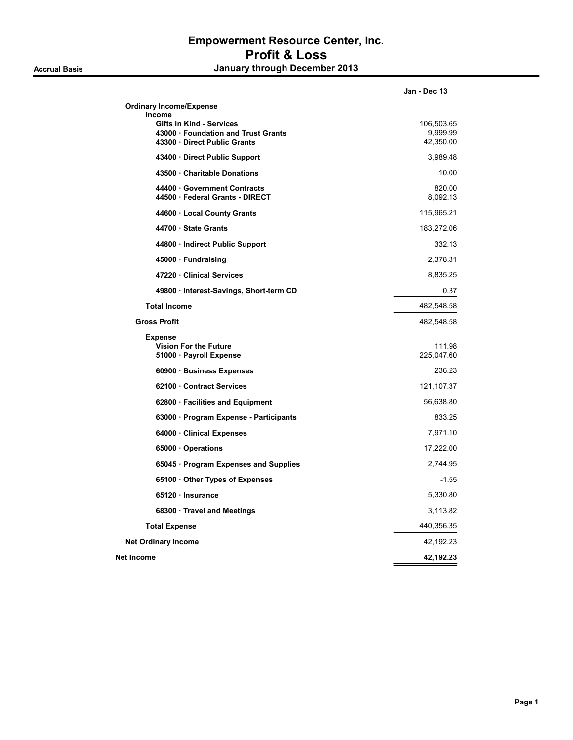|                                                                                                                       | Jan - Dec 13                        |
|-----------------------------------------------------------------------------------------------------------------------|-------------------------------------|
| <b>Ordinary Income/Expense</b>                                                                                        |                                     |
| <b>Income</b><br><b>Gifts in Kind - Services</b><br>43000 · Foundation and Trust Grants<br>43300 Direct Public Grants | 106,503.65<br>9,999.99<br>42,350.00 |
| 43400 Direct Public Support                                                                                           | 3,989.48                            |
| 43500 Charitable Donations                                                                                            | 10.00                               |
| 44400 Government Contracts<br>44500 · Federal Grants - DIRECT                                                         | 820.00<br>8,092.13                  |
| 44600 · Local County Grants                                                                                           | 115,965.21                          |
| 44700 State Grants                                                                                                    | 183,272.06                          |
| 44800 · Indirect Public Support                                                                                       | 332.13                              |
| 45000 · Fundraising                                                                                                   | 2,378.31                            |
| 47220 Clinical Services                                                                                               | 8,835.25                            |
| 49800 · Interest-Savings, Short-term CD                                                                               | 0.37                                |
| <b>Total Income</b>                                                                                                   | 482,548.58                          |
| <b>Gross Profit</b>                                                                                                   | 482,548.58                          |
| <b>Expense</b><br><b>Vision For the Future</b><br>51000 · Payroll Expense                                             | 111.98<br>225,047.60                |
| 60900 · Business Expenses                                                                                             | 236.23                              |
| 62100 Contract Services                                                                                               | 121, 107.37                         |
| 62800 · Facilities and Equipment                                                                                      | 56,638.80                           |
| 63000 · Program Expense - Participants                                                                                | 833.25                              |
| 64000 Clinical Expenses                                                                                               | 7,971.10                            |
| 65000 Operations                                                                                                      | 17,222.00                           |
| 65045 · Program Expenses and Supplies                                                                                 | 2,744.95                            |
| 65100 Other Types of Expenses                                                                                         | $-1.55$                             |
| 65120 · Insurance                                                                                                     | 5,330.80                            |
| 68300 Travel and Meetings                                                                                             | 3,113.82                            |
| <b>Total Expense</b>                                                                                                  | 440,356.35                          |
| <b>Net Ordinary Income</b>                                                                                            | 42,192.23                           |
| Net Income                                                                                                            | 42,192.23                           |